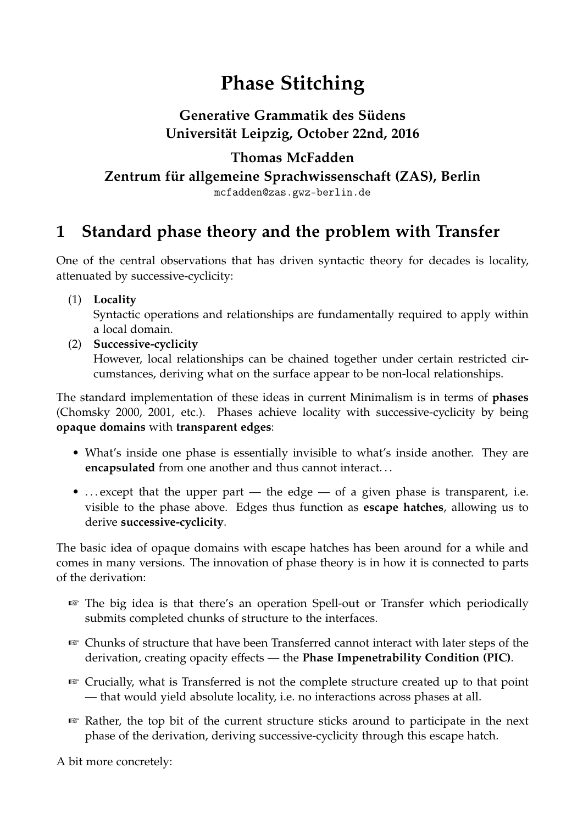# **Phase Stitching**

## **Generative Grammatik des Südens Universität Leipzig, October 22nd, 2016**

### **Thomas McFadden**

**Zentrum für allgemeine Sprachwissenschaft (ZAS), Berlin**

mcfadden@zas.gwz-berlin.de

## **1 Standard phase theory and the problem with Transfer**

One of the central observations that has driven syntactic theory for decades is locality, attenuated by successive-cyclicity:

(1) **Locality**

Syntactic operations and relationships are fundamentally required to apply within a local domain.

(2) **Successive-cyclicity** However, local relationships can be chained together under certain restricted circumstances, deriving what on the surface appear to be non-local relationships.

The standard implementation of these ideas in current Minimalism is in terms of **phases** (Chomsky 2000, 2001, etc.). Phases achieve locality with successive-cyclicity by being **opaque domains** with **transparent edges**:

- What's inside one phase is essentially invisible to what's inside another. They are **encapsulated** from one another and thus cannot interact. . .
- ... except that the upper part the edge of a given phase is transparent, i.e. visible to the phase above. Edges thus function as **escape hatches**, allowing us to derive **successive-cyclicity**.

The basic idea of opaque domains with escape hatches has been around for a while and comes in many versions. The innovation of phase theory is in how it is connected to parts of the derivation:

- ☞ The big idea is that there's an operation Spell-out or Transfer which periodically submits completed chunks of structure to the interfaces.
- ☞ Chunks of structure that have been Transferred cannot interact with later steps of the derivation, creating opacity effects — the **Phase Impenetrability Condition (PIC)**.
- ☞ Crucially, what is Transferred is not the complete structure created up to that point — that would yield absolute locality, i.e. no interactions across phases at all.
- ☞ Rather, the top bit of the current structure sticks around to participate in the next phase of the derivation, deriving successive-cyclicity through this escape hatch.

A bit more concretely: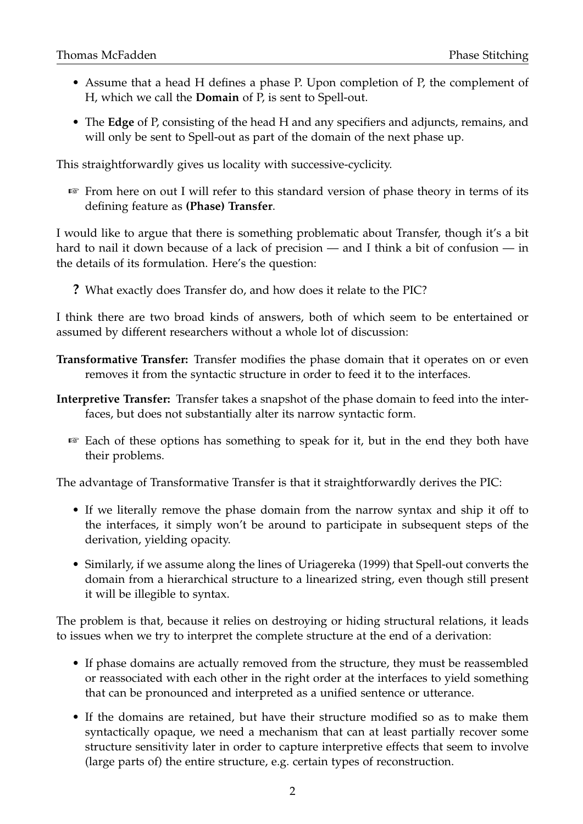- Assume that a head H defines a phase P. Upon completion of P, the complement of H, which we call the **Domain** of P, is sent to Spell-out.
- The **Edge** of P, consisting of the head H and any specifiers and adjuncts, remains, and will only be sent to Spell-out as part of the domain of the next phase up.

This straightforwardly gives us locality with successive-cyclicity.

☞ From here on out I will refer to this standard version of phase theory in terms of its defining feature as **(Phase) Transfer**.

I would like to argue that there is something problematic about Transfer, though it's a bit hard to nail it down because of a lack of precision — and I think a bit of confusion — in the details of its formulation. Here's the question:

**?** What exactly does Transfer do, and how does it relate to the PIC?

I think there are two broad kinds of answers, both of which seem to be entertained or assumed by different researchers without a whole lot of discussion:

- **Transformative Transfer:** Transfer modifies the phase domain that it operates on or even removes it from the syntactic structure in order to feed it to the interfaces.
- **Interpretive Transfer:** Transfer takes a snapshot of the phase domain to feed into the interfaces, but does not substantially alter its narrow syntactic form.
	- ☞ Each of these options has something to speak for it, but in the end they both have their problems.

The advantage of Transformative Transfer is that it straightforwardly derives the PIC:

- If we literally remove the phase domain from the narrow syntax and ship it off to the interfaces, it simply won't be around to participate in subsequent steps of the derivation, yielding opacity.
- Similarly, if we assume along the lines of Uriagereka (1999) that Spell-out converts the domain from a hierarchical structure to a linearized string, even though still present it will be illegible to syntax.

The problem is that, because it relies on destroying or hiding structural relations, it leads to issues when we try to interpret the complete structure at the end of a derivation:

- If phase domains are actually removed from the structure, they must be reassembled or reassociated with each other in the right order at the interfaces to yield something that can be pronounced and interpreted as a unified sentence or utterance.
- If the domains are retained, but have their structure modified so as to make them syntactically opaque, we need a mechanism that can at least partially recover some structure sensitivity later in order to capture interpretive effects that seem to involve (large parts of) the entire structure, e.g. certain types of reconstruction.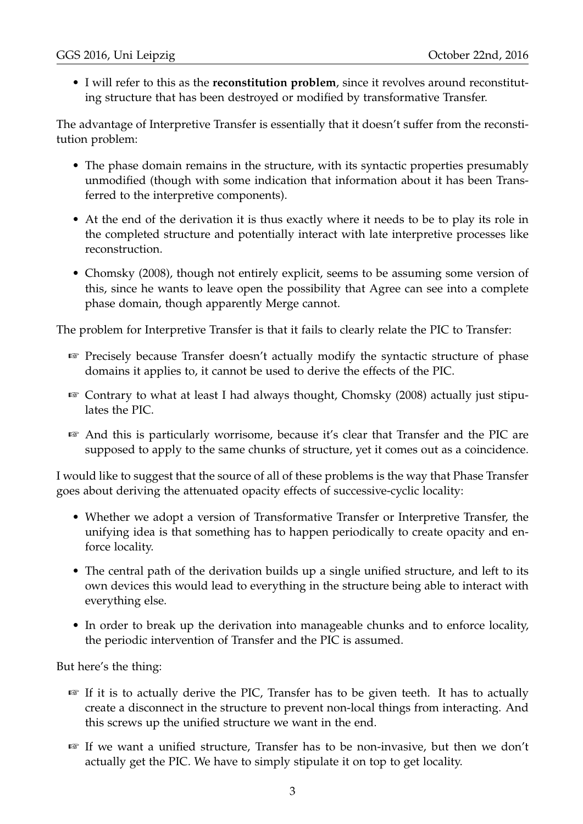• I will refer to this as the **reconstitution problem**, since it revolves around reconstituting structure that has been destroyed or modified by transformative Transfer.

The advantage of Interpretive Transfer is essentially that it doesn't suffer from the reconstitution problem:

- The phase domain remains in the structure, with its syntactic properties presumably unmodified (though with some indication that information about it has been Transferred to the interpretive components).
- At the end of the derivation it is thus exactly where it needs to be to play its role in the completed structure and potentially interact with late interpretive processes like reconstruction.
- Chomsky (2008), though not entirely explicit, seems to be assuming some version of this, since he wants to leave open the possibility that Agree can see into a complete phase domain, though apparently Merge cannot.

The problem for Interpretive Transfer is that it fails to clearly relate the PIC to Transfer:

- ☞ Precisely because Transfer doesn't actually modify the syntactic structure of phase domains it applies to, it cannot be used to derive the effects of the PIC.
- ☞ Contrary to what at least I had always thought, Chomsky (2008) actually just stipulates the PIC.
- ☞ And this is particularly worrisome, because it's clear that Transfer and the PIC are supposed to apply to the same chunks of structure, yet it comes out as a coincidence.

I would like to suggest that the source of all of these problems is the way that Phase Transfer goes about deriving the attenuated opacity effects of successive-cyclic locality:

- Whether we adopt a version of Transformative Transfer or Interpretive Transfer, the unifying idea is that something has to happen periodically to create opacity and enforce locality.
- The central path of the derivation builds up a single unified structure, and left to its own devices this would lead to everything in the structure being able to interact with everything else.
- In order to break up the derivation into manageable chunks and to enforce locality, the periodic intervention of Transfer and the PIC is assumed.

But here's the thing:

- ☞ If it is to actually derive the PIC, Transfer has to be given teeth. It has to actually create a disconnect in the structure to prevent non-local things from interacting. And this screws up the unified structure we want in the end.
- ☞ If we want a unified structure, Transfer has to be non-invasive, but then we don't actually get the PIC. We have to simply stipulate it on top to get locality.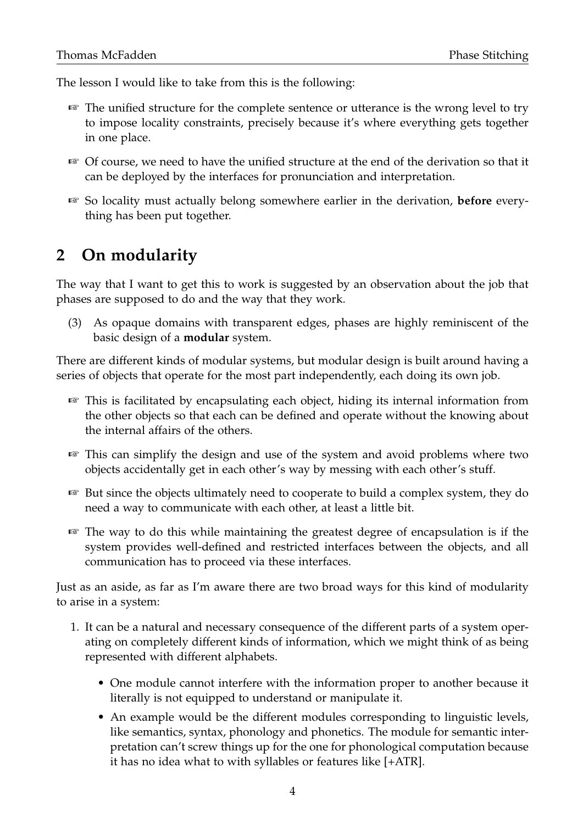The lesson I would like to take from this is the following:

- ☞ The unified structure for the complete sentence or utterance is the wrong level to try to impose locality constraints, precisely because it's where everything gets together in one place.
- ☞ Of course, we need to have the unified structure at the end of the derivation so that it can be deployed by the interfaces for pronunciation and interpretation.
- ☞ So locality must actually belong somewhere earlier in the derivation, **before** everything has been put together.

## **2 On modularity**

The way that I want to get this to work is suggested by an observation about the job that phases are supposed to do and the way that they work.

(3) As opaque domains with transparent edges, phases are highly reminiscent of the basic design of a **modular** system.

There are different kinds of modular systems, but modular design is built around having a series of objects that operate for the most part independently, each doing its own job.

- ☞ This is facilitated by encapsulating each object, hiding its internal information from the other objects so that each can be defined and operate without the knowing about the internal affairs of the others.
- ☞ This can simplify the design and use of the system and avoid problems where two objects accidentally get in each other's way by messing with each other's stuff.
- ☞ But since the objects ultimately need to cooperate to build a complex system, they do need a way to communicate with each other, at least a little bit.
- ☞ The way to do this while maintaining the greatest degree of encapsulation is if the system provides well-defined and restricted interfaces between the objects, and all communication has to proceed via these interfaces.

Just as an aside, as far as I'm aware there are two broad ways for this kind of modularity to arise in a system:

- 1. It can be a natural and necessary consequence of the different parts of a system operating on completely different kinds of information, which we might think of as being represented with different alphabets.
	- One module cannot interfere with the information proper to another because it literally is not equipped to understand or manipulate it.
	- An example would be the different modules corresponding to linguistic levels, like semantics, syntax, phonology and phonetics. The module for semantic interpretation can't screw things up for the one for phonological computation because it has no idea what to with syllables or features like [+ATR].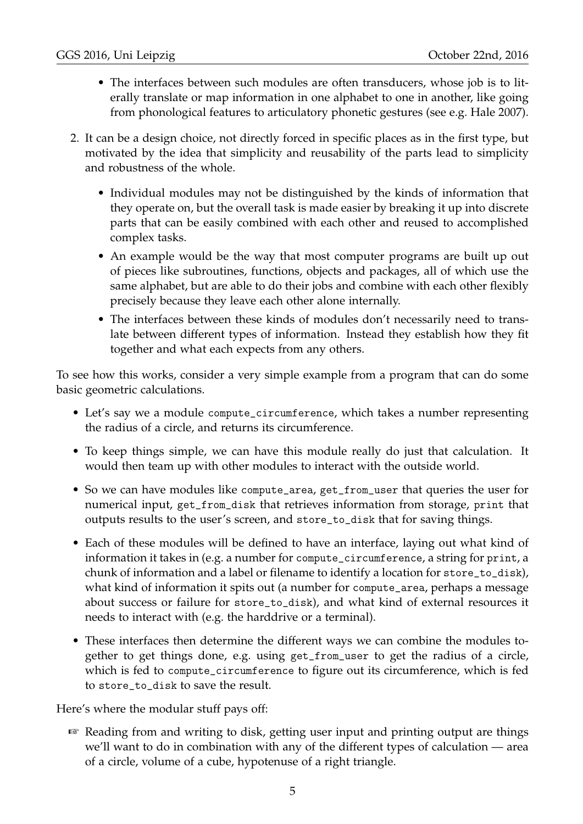- The interfaces between such modules are often transducers, whose job is to literally translate or map information in one alphabet to one in another, like going from phonological features to articulatory phonetic gestures (see e.g. Hale 2007).
- 2. It can be a design choice, not directly forced in specific places as in the first type, but motivated by the idea that simplicity and reusability of the parts lead to simplicity and robustness of the whole.
	- Individual modules may not be distinguished by the kinds of information that they operate on, but the overall task is made easier by breaking it up into discrete parts that can be easily combined with each other and reused to accomplished complex tasks.
	- An example would be the way that most computer programs are built up out of pieces like subroutines, functions, objects and packages, all of which use the same alphabet, but are able to do their jobs and combine with each other flexibly precisely because they leave each other alone internally.
	- The interfaces between these kinds of modules don't necessarily need to translate between different types of information. Instead they establish how they fit together and what each expects from any others.

To see how this works, consider a very simple example from a program that can do some basic geometric calculations.

- Let's say we a module compute\_circumference, which takes a number representing the radius of a circle, and returns its circumference.
- To keep things simple, we can have this module really do just that calculation. It would then team up with other modules to interact with the outside world.
- So we can have modules like compute\_area, get\_from\_user that queries the user for numerical input, get\_from\_disk that retrieves information from storage, print that outputs results to the user's screen, and store\_to\_disk that for saving things.
- Each of these modules will be defined to have an interface, laying out what kind of information it takes in (e.g. a number for compute\_circumference, a string for print, a chunk of information and a label or filename to identify a location for store\_to\_disk), what kind of information it spits out (a number for compute\_area, perhaps a message about success or failure for store\_to\_disk), and what kind of external resources it needs to interact with (e.g. the harddrive or a terminal).
- These interfaces then determine the different ways we can combine the modules together to get things done, e.g. using get\_from\_user to get the radius of a circle, which is fed to compute\_circumference to figure out its circumference, which is fed to store\_to\_disk to save the result.

Here's where the modular stuff pays off:

☞ Reading from and writing to disk, getting user input and printing output are things we'll want to do in combination with any of the different types of calculation — area of a circle, volume of a cube, hypotenuse of a right triangle.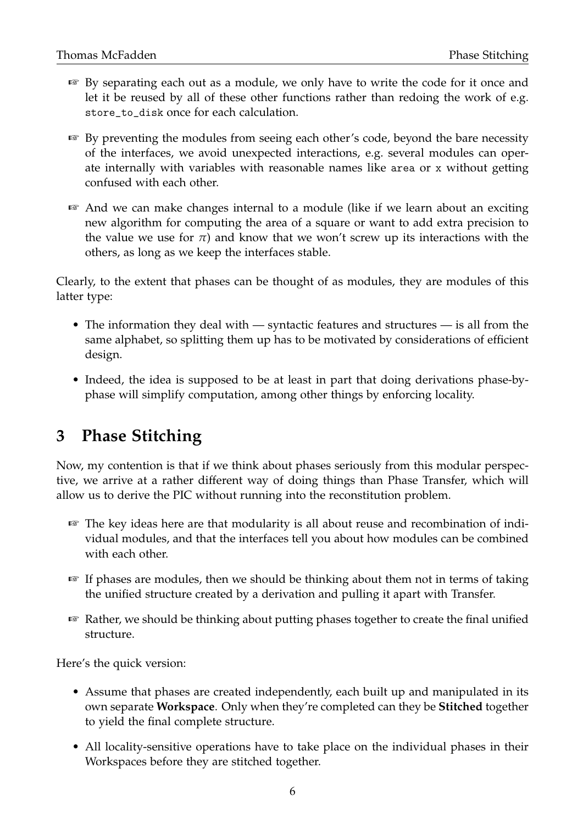- ☞ By separating each out as a module, we only have to write the code for it once and let it be reused by all of these other functions rather than redoing the work of e.g. store\_to\_disk once for each calculation.
- ☞ By preventing the modules from seeing each other's code, beyond the bare necessity of the interfaces, we avoid unexpected interactions, e.g. several modules can operate internally with variables with reasonable names like area or x without getting confused with each other.
- ☞ And we can make changes internal to a module (like if we learn about an exciting new algorithm for computing the area of a square or want to add extra precision to the value we use for  $\pi$ ) and know that we won't screw up its interactions with the others, as long as we keep the interfaces stable.

Clearly, to the extent that phases can be thought of as modules, they are modules of this latter type:

- The information they deal with syntactic features and structures is all from the same alphabet, so splitting them up has to be motivated by considerations of efficient design.
- Indeed, the idea is supposed to be at least in part that doing derivations phase-byphase will simplify computation, among other things by enforcing locality.

## **3 Phase Stitching**

Now, my contention is that if we think about phases seriously from this modular perspective, we arrive at a rather different way of doing things than Phase Transfer, which will allow us to derive the PIC without running into the reconstitution problem.

- ☞ The key ideas here are that modularity is all about reuse and recombination of individual modules, and that the interfaces tell you about how modules can be combined with each other.
- ☞ If phases are modules, then we should be thinking about them not in terms of taking the unified structure created by a derivation and pulling it apart with Transfer.
- ☞ Rather, we should be thinking about putting phases together to create the final unified structure.

Here's the quick version:

- Assume that phases are created independently, each built up and manipulated in its own separate **Workspace**. Only when they're completed can they be **Stitched** together to yield the final complete structure.
- All locality-sensitive operations have to take place on the individual phases in their Workspaces before they are stitched together.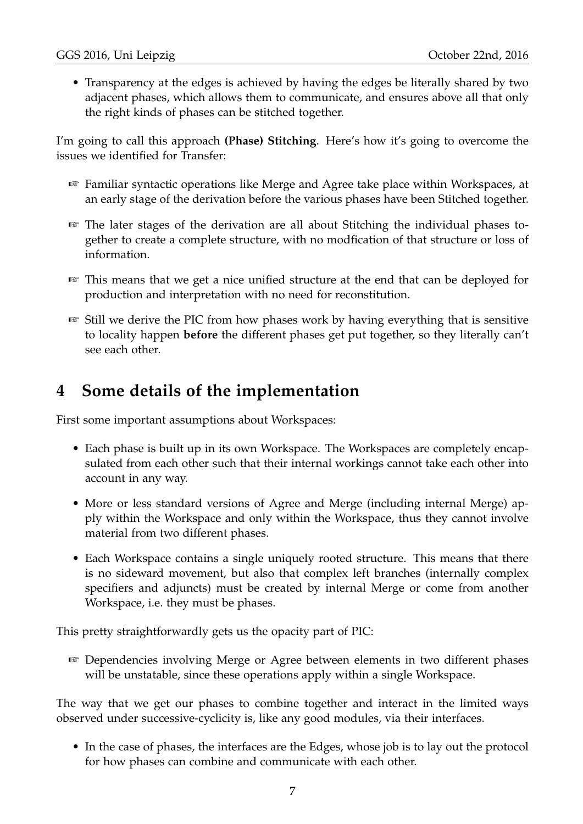• Transparency at the edges is achieved by having the edges be literally shared by two adjacent phases, which allows them to communicate, and ensures above all that only the right kinds of phases can be stitched together.

I'm going to call this approach **(Phase) Stitching**. Here's how it's going to overcome the issues we identified for Transfer:

- ☞ Familiar syntactic operations like Merge and Agree take place within Workspaces, at an early stage of the derivation before the various phases have been Stitched together.
- ☞ The later stages of the derivation are all about Stitching the individual phases together to create a complete structure, with no modfication of that structure or loss of information.
- ☞ This means that we get a nice unified structure at the end that can be deployed for production and interpretation with no need for reconstitution.
- ☞ Still we derive the PIC from how phases work by having everything that is sensitive to locality happen **before** the different phases get put together, so they literally can't see each other.

## **4 Some details of the implementation**

First some important assumptions about Workspaces:

- Each phase is built up in its own Workspace. The Workspaces are completely encapsulated from each other such that their internal workings cannot take each other into account in any way.
- More or less standard versions of Agree and Merge (including internal Merge) apply within the Workspace and only within the Workspace, thus they cannot involve material from two different phases.
- Each Workspace contains a single uniquely rooted structure. This means that there is no sideward movement, but also that complex left branches (internally complex specifiers and adjuncts) must be created by internal Merge or come from another Workspace, i.e. they must be phases.

This pretty straightforwardly gets us the opacity part of PIC:

☞ Dependencies involving Merge or Agree between elements in two different phases will be unstatable, since these operations apply within a single Workspace.

The way that we get our phases to combine together and interact in the limited ways observed under successive-cyclicity is, like any good modules, via their interfaces.

• In the case of phases, the interfaces are the Edges, whose job is to lay out the protocol for how phases can combine and communicate with each other.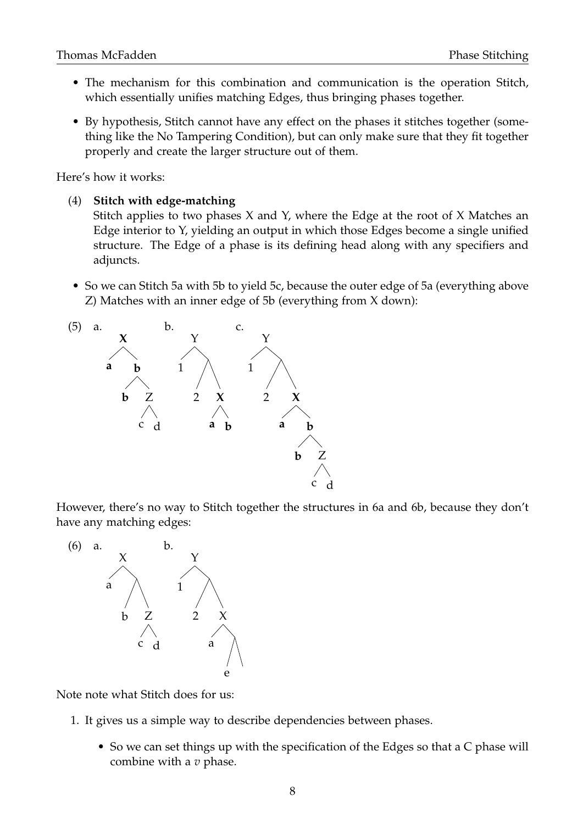- The mechanism for this combination and communication is the operation Stitch, which essentially unifies matching Edges, thus bringing phases together.
- By hypothesis, Stitch cannot have any effect on the phases it stitches together (something like the No Tampering Condition), but can only make sure that they fit together properly and create the larger structure out of them.

Here's how it works:

#### (4) **Stitch with edge-matching**

Stitch applies to two phases X and Y, where the Edge at the root of X Matches an Edge interior to Y, yielding an output in which those Edges become a single unified structure. The Edge of a phase is its defining head along with any specifiers and adjuncts.

• So we can Stitch 5a with 5b to yield 5c, because the outer edge of 5a (everything above Z) Matches with an inner edge of 5b (everything from X down):



However, there's no way to Stitch together the structures in 6a and 6b, because they don't have any matching edges:



Note note what Stitch does for us:

- 1. It gives us a simple way to describe dependencies between phases.
	- So we can set things up with the specification of the Edges so that a C phase will combine with a *v* phase.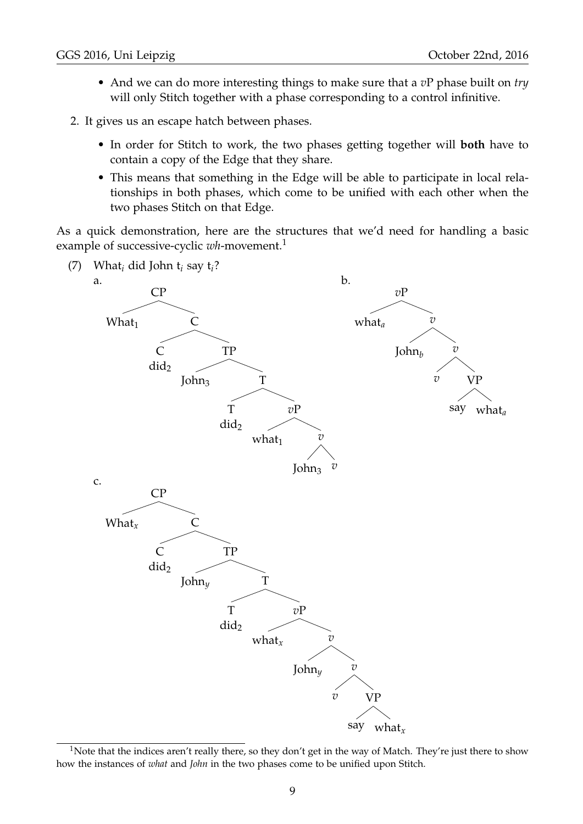- And we can do more interesting things to make sure that a *v*P phase built on *try* will only Stitch together with a phase corresponding to a control infinitive.
- 2. It gives us an escape hatch between phases.
	- In order for Stitch to work, the two phases getting together will **both** have to contain a copy of the Edge that they share.
	- This means that something in the Edge will be able to participate in local relationships in both phases, which come to be unified with each other when the two phases Stitch on that Edge.

As a quick demonstration, here are the structures that we'd need for handling a basic example of successive-cyclic *wh*-movement.<sup>1</sup>



<sup>&</sup>lt;sup>1</sup>Note that the indices aren't really there, so they don't get in the way of Match. They're just there to show how the instances of *what* and *John* in the two phases come to be unified upon Stitch.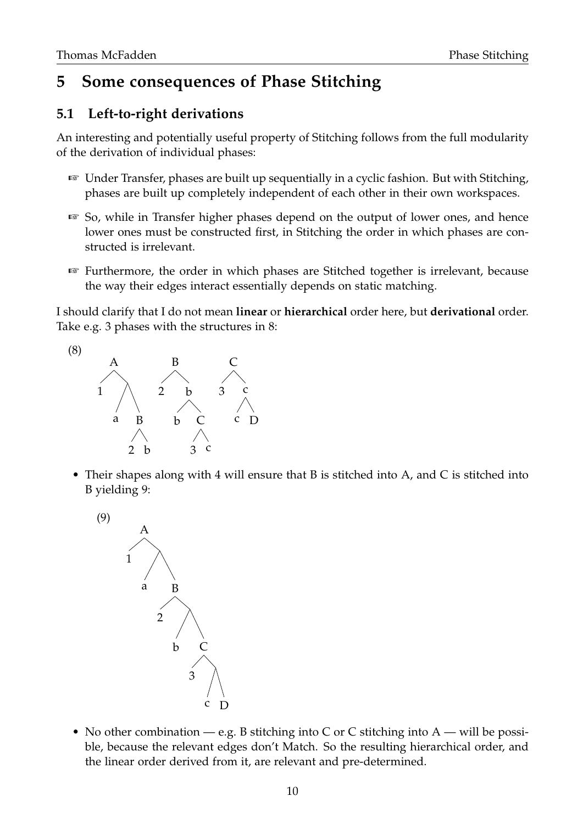## **5 Some consequences of Phase Stitching**

### **5.1 Left-to-right derivations**

An interesting and potentially useful property of Stitching follows from the full modularity of the derivation of individual phases:

- ☞ Under Transfer, phases are built up sequentially in a cyclic fashion. But with Stitching, phases are built up completely independent of each other in their own workspaces.
- ☞ So, while in Transfer higher phases depend on the output of lower ones, and hence lower ones must be constructed first, in Stitching the order in which phases are constructed is irrelevant.
- ☞ Furthermore, the order in which phases are Stitched together is irrelevant, because the way their edges interact essentially depends on static matching.

I should clarify that I do not mean **linear** or **hierarchical** order here, but **derivational** order. Take e.g. 3 phases with the structures in 8:



• Their shapes along with 4 will ensure that B is stitched into A, and C is stitched into B yielding 9:



• No other combination — e.g. B stitching into C or C stitching into  $A$  — will be possible, because the relevant edges don't Match. So the resulting hierarchical order, and the linear order derived from it, are relevant and pre-determined.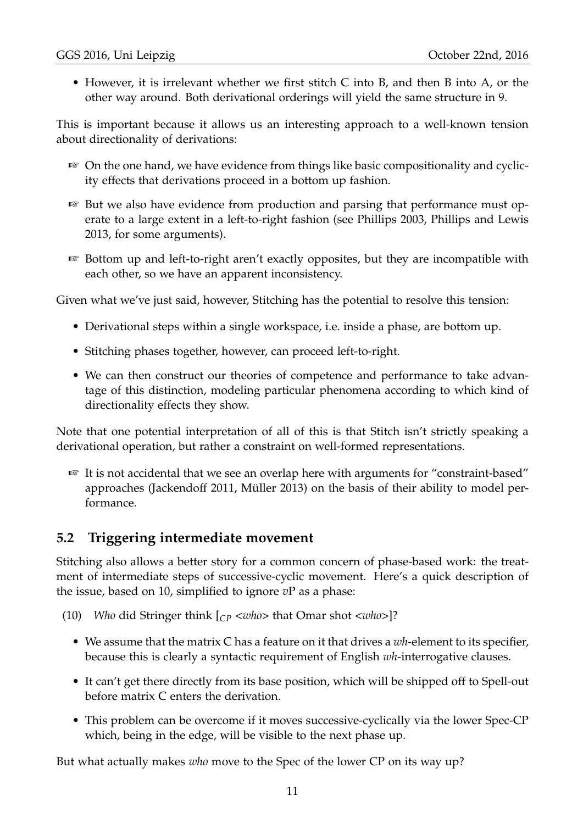• However, it is irrelevant whether we first stitch C into B, and then B into A, or the other way around. Both derivational orderings will yield the same structure in 9.

This is important because it allows us an interesting approach to a well-known tension about directionality of derivations:

- ☞ On the one hand, we have evidence from things like basic compositionality and cyclicity effects that derivations proceed in a bottom up fashion.
- ☞ But we also have evidence from production and parsing that performance must operate to a large extent in a left-to-right fashion (see Phillips 2003, Phillips and Lewis 2013, for some arguments).
- ☞ Bottom up and left-to-right aren't exactly opposites, but they are incompatible with each other, so we have an apparent inconsistency.

Given what we've just said, however, Stitching has the potential to resolve this tension:

- Derivational steps within a single workspace, i.e. inside a phase, are bottom up.
- Stitching phases together, however, can proceed left-to-right.
- We can then construct our theories of competence and performance to take advantage of this distinction, modeling particular phenomena according to which kind of directionality effects they show.

Note that one potential interpretation of all of this is that Stitch isn't strictly speaking a derivational operation, but rather a constraint on well-formed representations.

☞ It is not accidental that we see an overlap here with arguments for "constraint-based" approaches (Jackendoff 2011, Müller 2013) on the basis of their ability to model performance.

### **5.2 Triggering intermediate movement**

Stitching also allows a better story for a common concern of phase-based work: the treatment of intermediate steps of successive-cyclic movement. Here's a quick description of the issue, based on 10, simplified to ignore *v*P as a phase:

(10) *Who* did Stringer think [*CP <who>* that Omar shot *<who>*]?

- We assume that the matrix C has a feature on it that drives a *wh*-element to its specifier, because this is clearly a syntactic requirement of English *wh*-interrogative clauses.
- It can't get there directly from its base position, which will be shipped off to Spell-out before matrix C enters the derivation.
- This problem can be overcome if it moves successive-cyclically via the lower Spec-CP which, being in the edge, will be visible to the next phase up.

But what actually makes *who* move to the Spec of the lower CP on its way up?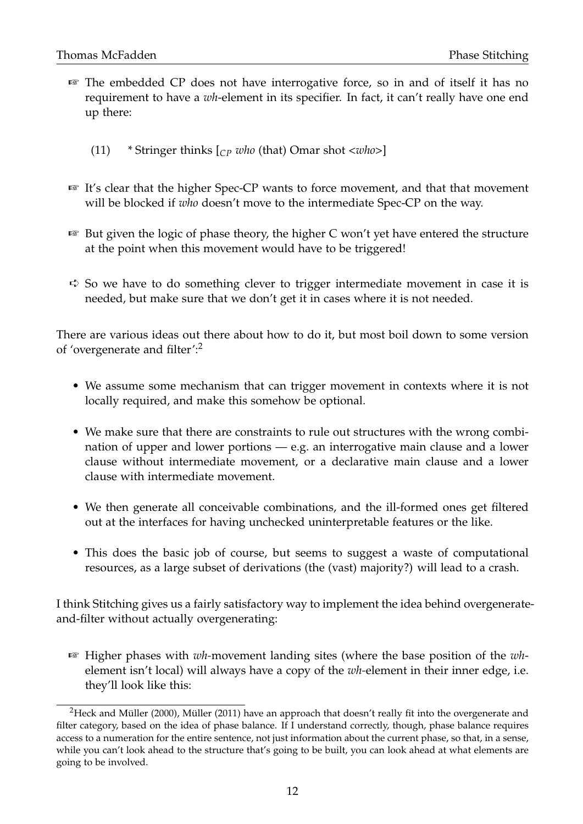- ☞ The embedded CP does not have interrogative force, so in and of itself it has no requirement to have a *wh*-element in its specifier. In fact, it can't really have one end up there:
	- (11) \* Stringer thinks [*CP who* (that) Omar shot *<who>*]
- ☞ It's clear that the higher Spec-CP wants to force movement, and that that movement will be blocked if *who* doesn't move to the intermediate Spec-CP on the way.
- ☞ But given the logic of phase theory, the higher C won't yet have entered the structure at the point when this movement would have to be triggered!
- $\Rightarrow$  So we have to do something clever to trigger intermediate movement in case it is needed, but make sure that we don't get it in cases where it is not needed.

There are various ideas out there about how to do it, but most boil down to some version of 'overgenerate and filter':<sup>2</sup>

- We assume some mechanism that can trigger movement in contexts where it is not locally required, and make this somehow be optional.
- We make sure that there are constraints to rule out structures with the wrong combination of upper and lower portions — e.g. an interrogative main clause and a lower clause without intermediate movement, or a declarative main clause and a lower clause with intermediate movement.
- We then generate all conceivable combinations, and the ill-formed ones get filtered out at the interfaces for having unchecked uninterpretable features or the like.
- This does the basic job of course, but seems to suggest a waste of computational resources, as a large subset of derivations (the (vast) majority?) will lead to a crash.

I think Stitching gives us a fairly satisfactory way to implement the idea behind overgenerateand-filter without actually overgenerating:

☞ Higher phases with *wh-*movement landing sites (where the base position of the *wh*element isn't local) will always have a copy of the *wh-*element in their inner edge, i.e. they'll look like this:

<sup>&</sup>lt;sup>2</sup>Heck and Müller (2000), Müller (2011) have an approach that doesn't really fit into the overgenerate and filter category, based on the idea of phase balance. If I understand correctly, though, phase balance requires access to a numeration for the entire sentence, not just information about the current phase, so that, in a sense, while you can't look ahead to the structure that's going to be built, you can look ahead at what elements are going to be involved.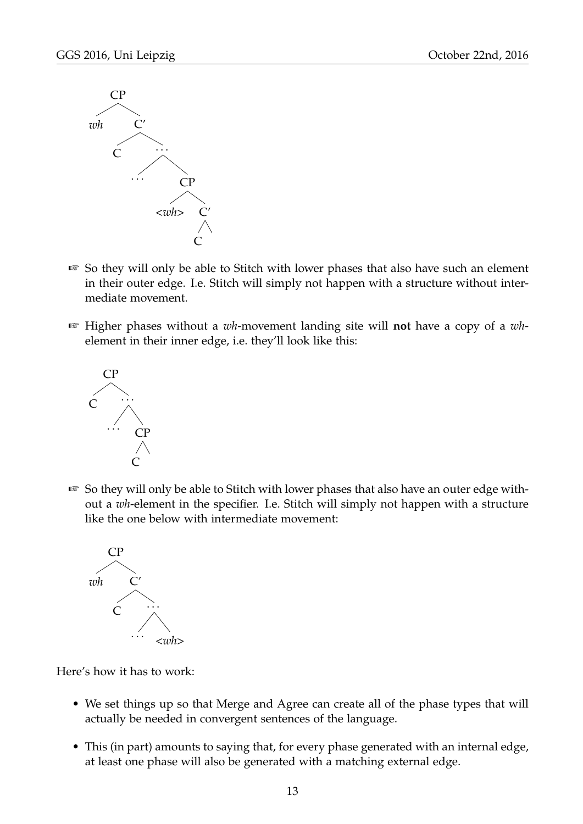

- ☞ So they will only be able to Stitch with lower phases that also have such an element in their outer edge. I.e. Stitch will simply not happen with a structure without intermediate movement.
- ☞ Higher phases without a *wh-*movement landing site will **not** have a copy of a *wh*element in their inner edge, i.e. they'll look like this:



☞ So they will only be able to Stitch with lower phases that also have an outer edge without a *wh*-element in the specifier. I.e. Stitch will simply not happen with a structure like the one below with intermediate movement:



Here's how it has to work:

- We set things up so that Merge and Agree can create all of the phase types that will actually be needed in convergent sentences of the language.
- This (in part) amounts to saying that, for every phase generated with an internal edge, at least one phase will also be generated with a matching external edge.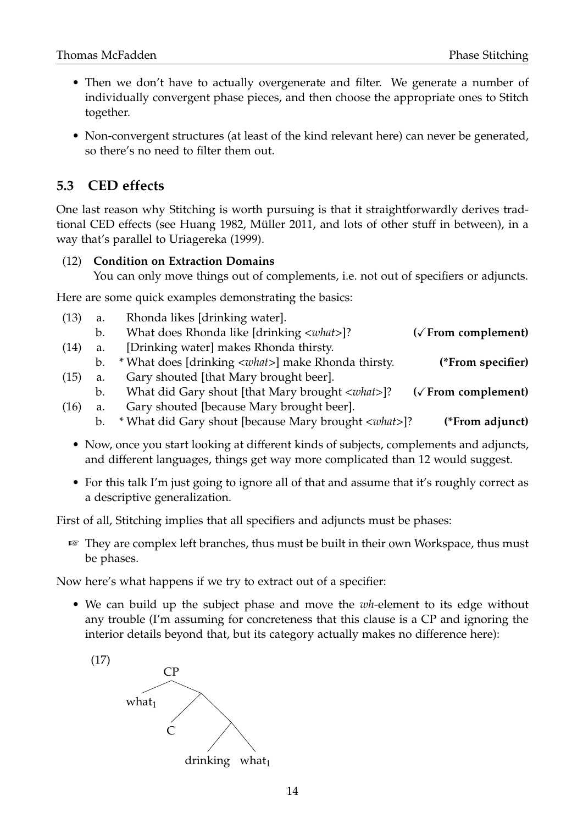- Then we don't have to actually overgenerate and filter. We generate a number of individually convergent phase pieces, and then choose the appropriate ones to Stitch together.
- Non-convergent structures (at least of the kind relevant here) can never be generated, so there's no need to filter them out.

### **5.3 CED effects**

One last reason why Stitching is worth pursuing is that it straightforwardly derives tradtional CED effects (see Huang 1982, Müller 2011, and lots of other stuff in between), in a way that's parallel to Uriagereka (1999).

#### (12) **Condition on Extraction Domains**

You can only move things out of complements, i.e. not out of specifiers or adjuncts.

Here are some quick examples demonstrating the basics:

|                              | Rhonda likes [drinking water].                              | (13)<br>a.    |  |
|------------------------------|-------------------------------------------------------------|---------------|--|
| ( $\sqrt{$ From complement)  | What does Rhonda like [drinking <what>]?</what>             | $\mathbf b$ . |  |
|                              | [Drinking water] makes Rhonda thirsty.                      | (14)<br>a.    |  |
| (*From specifier)            | * What does [drinking <what>] make Rhonda thirsty.</what>   | b.            |  |
|                              | Gary shouted [that Mary brought beer].                      | (15)<br>a.    |  |
| $(\sqrt{2}$ From complement) | What did Gary shout [that Mary brought <what>]?</what>      | b.            |  |
|                              | Gary shouted [because Mary brought beer].                   | (16)<br>a.    |  |
| (*From adjunct)              | * What did Gary shout [because Mary brought <what>]?</what> | b.            |  |
|                              |                                                             |               |  |

- Now, once you start looking at different kinds of subjects, complements and adjuncts, and different languages, things get way more complicated than 12 would suggest.
- For this talk I'm just going to ignore all of that and assume that it's roughly correct as a descriptive generalization.

First of all, Stitching implies that all specifiers and adjuncts must be phases:

☞ They are complex left branches, thus must be built in their own Workspace, thus must be phases.

Now here's what happens if we try to extract out of a specifier:

• We can build up the subject phase and move the *wh*-element to its edge without any trouble (I'm assuming for concreteness that this clause is a CP and ignoring the interior details beyond that, but its category actually makes no difference here):

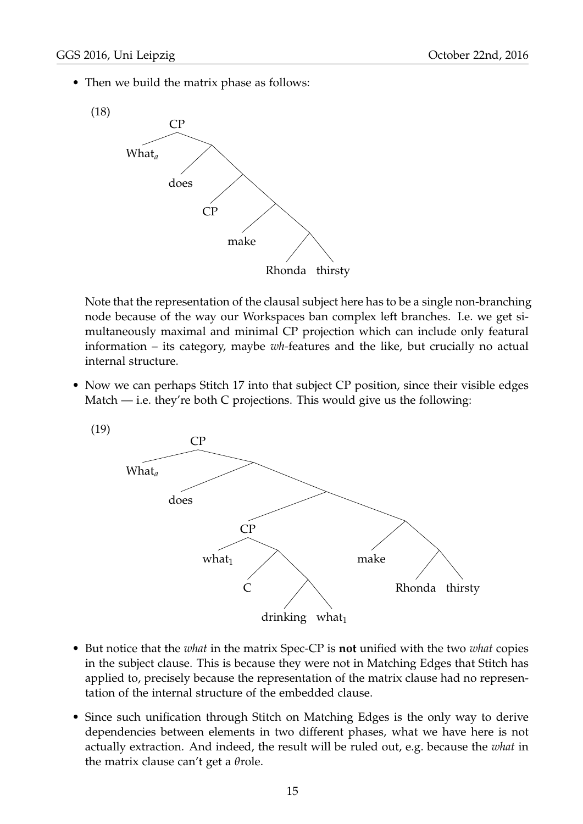• Then we build the matrix phase as follows:



Note that the representation of the clausal subject here has to be a single non-branching node because of the way our Workspaces ban complex left branches. I.e. we get simultaneously maximal and minimal CP projection which can include only featural information – its category, maybe *wh-*features and the like, but crucially no actual internal structure.

• Now we can perhaps Stitch 17 into that subject CP position, since their visible edges Match  $-$  i.e. they're both C projections. This would give us the following:



- But notice that the *what* in the matrix Spec-CP is **not** unified with the two *what* copies in the subject clause. This is because they were not in Matching Edges that Stitch has applied to, precisely because the representation of the matrix clause had no representation of the internal structure of the embedded clause.
- Since such unification through Stitch on Matching Edges is the only way to derive dependencies between elements in two different phases, what we have here is not actually extraction. And indeed, the result will be ruled out, e.g. because the *what* in the matrix clause can't get a *θ*role.